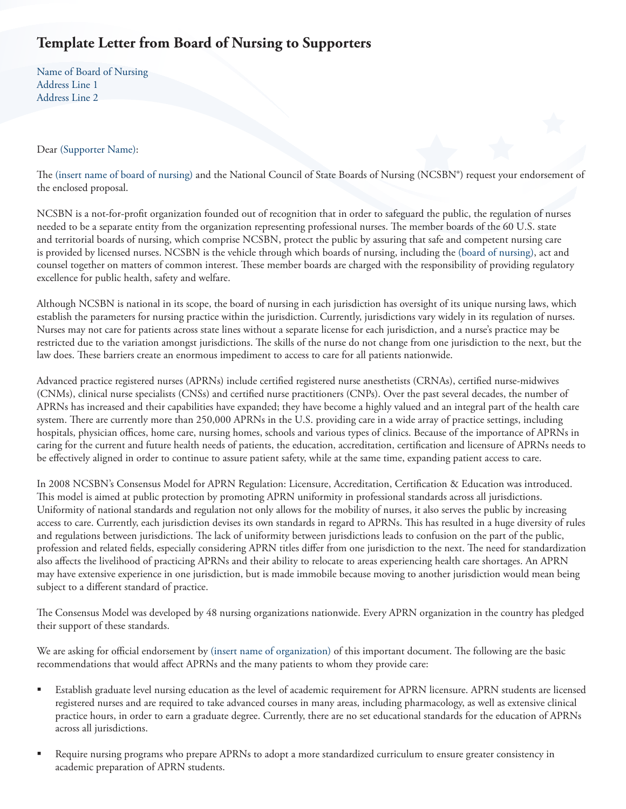## **Template Letter from Board of Nursing to Supporters**

Name of Board of Nursing Address Line 1 Address Line 2

## Dear (Supporter Name):

The (insert name of board of nursing) and the National Council of State Boards of Nursing (NCSBN®) request your endorsement of the enclosed proposal.

NCSBN is a not-for-profit organization founded out of recognition that in order to safeguard the public, the regulation of nurses needed to be a separate entity from the organization representing professional nurses. The member boards of the 60 U.S. state and territorial boards of nursing, which comprise NCSBN, protect the public by assuring that safe and competent nursing care is provided by licensed nurses. NCSBN is the vehicle through which boards of nursing, including the (board of nursing), act and counsel together on matters of common interest. These member boards are charged with the responsibility of providing regulatory excellence for public health, safety and welfare.

Although NCSBN is national in its scope, the board of nursing in each jurisdiction has oversight of its unique nursing laws, which establish the parameters for nursing practice within the jurisdiction. Currently, jurisdictions vary widely in its regulation of nurses. Nurses may not care for patients across state lines without a separate license for each jurisdiction, and a nurse's practice may be restricted due to the variation amongst jurisdictions. The skills of the nurse do not change from one jurisdiction to the next, but the law does. These barriers create an enormous impediment to access to care for all patients nationwide.

Advanced practice registered nurses (APRNs) include certified registered nurse anesthetists (CRNAs), certified nurse-midwives (CNMs), clinical nurse specialists (CNSs) and certified nurse practitioners (CNPs). Over the past several decades, the number of APRNs has increased and their capabilities have expanded; they have become a highly valued and an integral part of the health care system. There are currently more than 250,000 APRNs in the U.S. providing care in a wide array of practice settings, including hospitals, physician offices, home care, nursing homes, schools and various types of clinics. Because of the importance of APRNs in caring for the current and future health needs of patients, the education, accreditation, certification and licensure of APRNs needs to be effectively aligned in order to continue to assure patient safety, while at the same time, expanding patient access to care.

In 2008 NCSBN's Consensus Model for APRN Regulation: Licensure, Accreditation, Certification & Education was introduced. This model is aimed at public protection by promoting APRN uniformity in professional standards across all jurisdictions. Uniformity of national standards and regulation not only allows for the mobility of nurses, it also serves the public by increasing access to care. Currently, each jurisdiction devises its own standards in regard to APRNs. This has resulted in a huge diversity of rules and regulations between jurisdictions. The lack of uniformity between jurisdictions leads to confusion on the part of the public, profession and related fields, especially considering APRN titles differ from one jurisdiction to the next. The need for standardization also affects the livelihood of practicing APRNs and their ability to relocate to areas experiencing health care shortages. An APRN may have extensive experience in one jurisdiction, but is made immobile because moving to another jurisdiction would mean being subject to a different standard of practice.

The Consensus Model was developed by 48 nursing organizations nationwide. Every APRN organization in the country has pledged their support of these standards.

We are asking for official endorsement by (insert name of organization) of this important document. The following are the basic recommendations that would affect APRNs and the many patients to whom they provide care:

- Establish graduate level nursing education as the level of academic requirement for APRN licensure. APRN students are licensed registered nurses and are required to take advanced courses in many areas, including pharmacology, as well as extensive clinical practice hours, in order to earn a graduate degree. Currently, there are no set educational standards for the education of APRNs across all jurisdictions.
- Require nursing programs who prepare APRNs to adopt a more standardized curriculum to ensure greater consistency in academic preparation of APRN students.